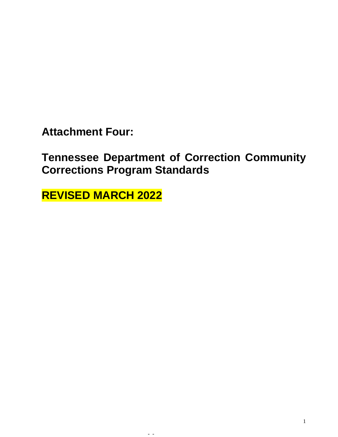**Attachment Four:** 

**Tennessee Department of Correction Community Corrections Program Standards**

- -

**REVISED MARCH 2022**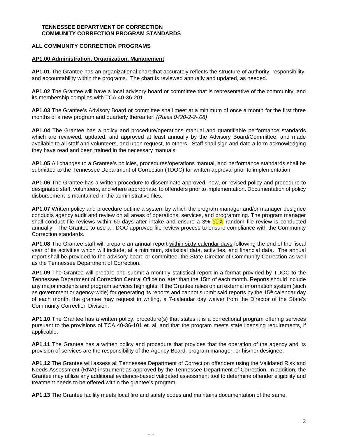### **TENNESSEE DEPARTMENT OF CORRECTION COMMUNITY CORRECTION PROGRAM STANDARDS**

## **ALL COMMUNITY CORRECTION PROGRAMS**

#### **AP1.00 Administration. Organization. Management**

**AP1.01** The Grantee has an organizational chart that accurately reflects the structure of authority, responsibility, and accountability within the programs. The chart is reviewed annually and updated, as needed.

**AP1.02** The Grantee will have a local advisory board or committee that is representative of the community, and its membership complies with TCA 40-36-201.

**AP1.03** The Grantee's Advisory Board or committee shall meet at a minimum of once a month for the first three months of a new program and quarterly thereafter. *(Rules 0420-2-2-.08)*

**AP1.04** The Grantee has a policy and procedure/operations manual and quantifiable performance standards which are reviewed, updated, and approved at least annually by the Advisory Board/Committee, and made available to all staff and volunteers, and upon request, to others. Staff shall sign and date a form acknowledging they have read and been trained in the necessary manuals.

**AP1.05** All changes to a Grantee's policies, procedures/operations manual, and performance standards shall be submitted to the Tennessee Department of Correction (TDOC) for written approval prior to implementation.

**AP1.06** The Grantee has a written procedure to disseminate approved, new, or revised policy and procedure to designated staff, volunteers, and where appropriate, to offenders prior to implementation. Documentation of policy disbursement is maintained in the administrative files.

**AP1.07** Written policy and procedure outline a system by which the program manager and/or manager designee conducts agency audit and review on all areas of operations, services, and programming. The program manager shall conduct file reviews within 60 days after intake and ensure a 3% 10% random file review is conducted annually. The Grantee to use a TDOC approved file review process to ensure compliance with the Community Correction standards.

**AP1.08** The Grantee staff will prepare an annual report within sixty calendar days following the end of the fiscal year of its activities which will include, at a minimum, statistical data, activities, and financial data. The annual report shall be provided to the advisory board or committee, the State Director of Community Correction as well as the Tennessee Department of Correction.

**AP1.09** The Grantee will prepare and submit a monthly statistical report in a format provided by TDOC to the Tennessee Department of Correction Central Office no later than the 15th of each month. Reports should include any major incidents and program services highlights. If the Grantee relies on an external information system (such as government or agency-wide) for generating its reports and cannot submit said reports by the 15<sup>th</sup> calendar day of each month, the grantee may request in writing, a 7-calendar day waiver from the Director of the State's Community Correction Division.

**AP1.10** The Grantee has a written policy, procedure(s) that states it is a correctional program offering services pursuant to the provisions of TCA 40-36-101 et. al. and that the program meets state licensing requirements, if applicable.

**AP1.11** The Grantee has a written policy and procedure that provides that the operation of the agency and its provision of services are the responsibility of the Agency Board, program manager, or his/her designee.

**AP1.12** The Grantee will assess all Tennessee Department of Correction offenders using the Validated Risk and Needs Assessment (RNA) instrument as approved by the Tennessee Department of Correction. In addition, the Grantee may utilize any additional evidence-based validated assessment tool to determine offender eligibility and treatment needs to be offered within the grantee's program.

**AP1.13** The Grantee facility meets local fire and safety codes and maintains documentation of the same.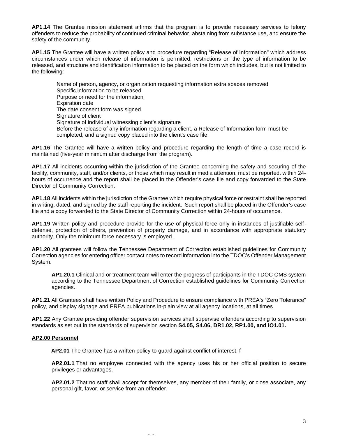**AP1.14** The Grantee mission statement affirms that the program is to provide necessary services to felony offenders to reduce the probability of continued criminal behavior, abstaining from substance use, and ensure the safety of the community.

**AP1.15** The Grantee will have a written policy and procedure regarding "Release of Information" which address circumstances under which release of information is permitted, restrictions on the type of information to be released, and structure and identification information to be placed on the form which includes, but is not limited to the following:

Name of person, agency, or organization requesting information extra spaces removed Specific information to be released Purpose or need for the information Expiration date The date consent form was signed Signature of client Signature of individual witnessing client's signature Before the release of any information regarding a client, a Release of Information form must be completed, and a signed copy placed into the client's case file.

**AP1.16** The Grantee will have a written policy and procedure regarding the length of time a case record is maintained (five-year minimum after discharge from the program).

**AP1.17** All incidents occurring within the jurisdiction of the Grantee concerning the safety and securing of the facility, community, staff, and/or clients, or those which may result in media attention, must be reported. within 24 hours of occurrence and the report shall be placed in the Offender's case file and copy forwarded to the State Director of Community Correction.

**AP1.18** All incidents within the jurisdiction of the Grantee which require physical force or restraint shall be reported in writing, dated, and signed by the staff reporting the incident. Such report shall be placed in the Offender's case file and a copy forwarded to the State Director of Community Correction within 24-hours of occurrence.

**AP1.19** Written policy and procedure provide for the use of physical force only in instances of justifiable selfdefense, protection of others, prevention of property damage, and in accordance with appropriate statutory authority. Only the minimum force necessary is employed.

**AP1.20** All grantees will follow the Tennessee Department of Correction established guidelines for Community Correction agencies for entering officer contact notes to record information into the TDOC's Offender Management System.

**AP1.20.1** Clinical and or treatment team will enter the progress of participants in the TDOC OMS system according to the Tennessee Department of Correction established guidelines for Community Correction agencies.

**AP1.21** All Grantees shall have written Policy and Procedure to ensure compliance with PREA's "Zero Tolerance" policy, and display signage and PREA publications in-plain view at all agency locations, at all times.

**AP1.22** Any Grantee providing offender supervision services shall supervise offenders according to supervision standards as set out in the standards of supervision section **S4.05, S4.06, DR1.02, RP1.00, and IO1.01.**

### **AP2.00 Personnel**

**AP2.01** The Grantee has a written policy to guard against conflict of interest. f

- -

**AP2.01.1** That no employee connected with the agency uses his or her official position to secure privileges or advantages.

**AP2.01.2** That no staff shall accept for themselves, any member of their family, or close associate, any personal gift, favor, or service from an offender.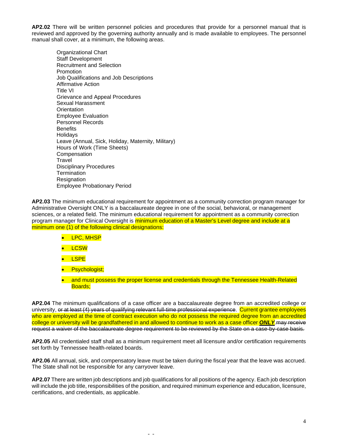**AP2.02** There will be written personnel policies and procedures that provide for a personnel manual that is reviewed and approved by the governing authority annually and is made available to employees. The personnel manual shall cover, at a minimum, the following areas.

Organizational Chart Staff Development Recruitment and Selection Promotion Job Qualifications and Job Descriptions Affirmative Action Title VI Grievance and Appeal Procedures Sexual Harassment **Orientation** Employee Evaluation Personnel Records **Benefits Holidavs** Leave (Annual, Sick, Holiday, Maternity, Military) Hours of Work (Time Sheets) **Compensation Travel** Disciplinary Procedures **Termination Resignation** Employee Probationary Period

**AP2.03** The minimum educational requirement for appointment as a community correction program manager for Administrative Oversight ONLY is a baccalaureate degree in one of the social, behavioral, or management sciences, or a related field. The minimum educational requirement for appointment as a community correction program manager for Clinical Oversight is minimum education of a Master's Level degree and include at a minimum one (1) of the following clinical designations:

- LPC, MHSP
- LCSW
- LSPE
- Psychologist;
- and must possess the proper license and credentials through the Tennessee Health-Related Boards;

**AP2.04** The minimum qualifications of a case officer are a baccalaureate degree from an accredited college or university, or at least (4) years of qualifying relevant full-time professional experience. Current grantee employees who are employed at the time of contract execution who do not possess the required degree from an accredited college or university will be grandfathered in and allowed to continue to work as a case officer *ONLY*.may receive request a waiver of the baccalaureate degree requirement to be reviewed by the State on a case-by-case basis.

**AP2.05** All credentialed staff shall as a minimum requirement meet all licensure and/or certification requirements set forth by Tennessee health-related boards.

**AP2.06** All annual, sick, and compensatory leave must be taken during the fiscal year that the leave was accrued. The State shall not be responsible for any carryover leave.

**AP2.07** There are written job descriptions and job qualifications for all positions of the agency. Each job description will include the job title, responsibilities of the position, and required minimum experience and education, licensure, certifications, and credentials, as applicable.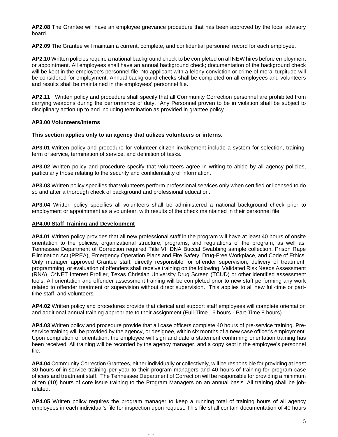**AP2.08** The Grantee will have an employee grievance procedure that has been approved by the local advisory board.

**AP2.09** The Grantee will maintain a current, complete, and confidential personnel record for each employee.

**AP2.10** Written policies require a national background check to be completed on all NEW hires before employment or appointment. All employees shall have an annual background check; documentation of the background check will be kept in the employee's personnel file. No applicant with a felony conviction or crime of moral turpitude will be considered for employment. Annual background checks shall be completed on all employees and volunteers and results shall be maintained in the employees' personnel file.

**AP2.11** Written policy and procedure shall specify that all Community Correction personnel are prohibited from carrying weapons during the performance of duty. Any Personnel proven to be in violation shall be subject to disciplinary action up to and including termination as provided in grantee policy.

## **AP3.00 Volunteers/Interns**

## **This section applies only to an agency that utilizes volunteers or interns.**

**AP3.01** Written policy and procedure for volunteer citizen involvement include a system for selection, training, term of service, termination of service, and definition of tasks.

**AP3.02** Written policy and procedure specify that volunteers agree in writing to abide by all agency policies, particularly those relating to the security and confidentiality of information.

**AP3.03** Written policy specifies that volunteers perform professional services only when certified or licensed to do so and after a thorough check of background and professional education.

**AP3.04** Written policy specifies all volunteers shall be administered a national background check prior to employment or appointment as a volunteer, with results of the check maintained in their personnel file.

### **AP4.00 Staff Training and Development**

**AP4.01** Written policy provides that all new professional staff in the program will have at least 40 hours of onsite orientation to the policies, organizational structure, programs, and regulations of the program, as well as, Tennessee Department of Correction required Title VI, DNA Buccal Swabbing sample collection, Prison Rape Elimination Act (PREA), Emergency Operation Plans and Fire Safety, Drug-Free Workplace, and Code of Ethics. Only manager approved Grantee staff, directly responsible for offender supervision, delivery of treatment, programming, or evaluation of offenders shall receive training on the following: Validated Risk Needs Assessment (RNA), O\*NET Interest Profiler, Texas Christian University Drug Screen (TCUD) or other identified assessment tools. All orientation and offender assessment training will be completed prior to new staff performing any work related to offender treatment or supervision without direct supervision. This applies to all new full-time or parttime staff, and volunteers*.*

**AP4.02** Written policy and procedures provide that clerical and support staff employees will complete orientation and additional annual training appropriate to their assignment (Full-Time 16 hours - Part-Time 8 hours).

**AP4.03** Written policy and procedure provide that all case officers complete 40 hours of pre-service training. Preservice training will be provided by the agency, or designee, within six months of a new case officer's employment. Upon completion of orientation, the employee will sign and date a statement confirming orientation training has been received. All training will be recorded by the agency manager, and a copy kept in the employee's personnel file.

**AP4.04** Community Correction Grantees, either individually or collectively, will be responsible for providing at least 30 hours of in‑service training per year to their program managers and 40 hours of training for program case officers and treatment staff. The Tennessee Department of Correction will be responsible for providing a minimum of ten (10) hours of core issue training to the Program Managers on an annual basis. All training shall be jobrelated.

**AP4.05** Written policy requires the program manager to keep a running total of training hours of all agency employees in each individual's file for inspection upon request. This file shall contain documentation of 40 hours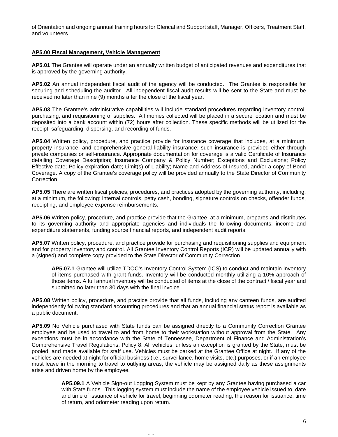of Orientation and ongoing annual training hours for Clerical and Support staff, Manager, Officers, Treatment Staff, and volunteers.

### **AP5.00 Fiscal Management, Vehicle Management**

**AP5.01** The Grantee will operate under an annually written budget of anticipated revenues and expenditures that is approved by the governing authority.

**AP5.02** An annual independent fiscal audit of the agency will be conducted. The Grantee is responsible for securing and scheduling the auditor. All independent fiscal audit results will be sent to the State and must be received no later than nine (9) months after the close of the fiscal year.

**AP5.03** The Grantee's administrative capabilities will include standard procedures regarding inventory control, purchasing, and requisitioning of supplies. All monies collected will be placed in a secure location and must be deposited into a bank account within (72) hours after collection. These specific methods will be utilized for the receipt, safeguarding, dispersing, and recording of funds.

**AP5.04** Written policy, procedure, and practice provide for insurance coverage that includes, at a minimum, property insurance, and comprehensive general liability insurance; such insurance is provided either through private companies or self-insurance. Appropriate documentation for coverage is a valid Certificate of Insurance detailing Coverage Description; Insurance Company & Policy Number; Exceptions and Exclusions; Policy Effective date; Policy expiration date; Limit(s) of Liability; Name and Address of Insured, and/or a copy of Bond Coverage. A copy of the Grantee's coverage policy will be provided annually to the State Director of Community Correction.

**AP5.05** There are written fiscal policies, procedures, and practices adopted by the governing authority, including, at a minimum, the following: internal controls, petty cash, bonding, signature controls on checks, offender funds, receipting, and employee expense reimbursements.

**AP5.06** Written policy, procedure, and practice provide that the Grantee, at a minimum, prepares and distributes to its governing authority and appropriate agencies and individuals the following documents: income and expenditure statements, funding source financial reports, and independent audit reports.

**AP5.07** Written policy, procedure, and practice provide for purchasing and requisitioning supplies and equipment and for property inventory and control. All Grantee Inventory Control Reports (ICR) will be updated annually with a (signed) and complete copy provided to the State Director of Community Correction.

**AP5.07.1** Grantee will utilize TDOC's Inventory Control System (ICS) to conduct and maintain inventory of items purchased with grant funds. Inventory will be conducted monthly utilizing a 10% approach of those items. A full annual inventory will be conducted of items at the close of the contract / fiscal year and submitted no later than 30 days with the final invoice.

**AP5.08** Written policy, procedure, and practice provide that all funds, including any canteen funds, are audited independently following standard accounting procedures and that an annual financial status report is available as a public document.

**AP5.09** No Vehicle purchased with State funds can be assigned directly to a Community Correction Grantee employee and be used to travel to and from home to their workstation without approval from the State. Any exceptions must be in accordance with the State of Tennessee, Department of Finance and Administration's Comprehensive Travel Regulations, Policy 8. All vehicles, unless an exception is granted by the State, must be pooled, and made available for staff use. Vehicles must be parked at the Grantee Office at night. If any of the vehicles are needed at night for official business (i.e., surveillance, home visits, etc.) purposes, or if an employee must leave in the morning to travel to outlying areas, the vehicle may be assigned daily as these assignments arise and driven home by the employee.

- -

**AP5.09.1** A Vehicle Sign-out Logging System must be kept by any Grantee having purchased a car with State funds. This logging system must include the name of the employee vehicle issued to, date and time of issuance of vehicle for travel, beginning odometer reading, the reason for issuance, time of return, and odometer reading upon return.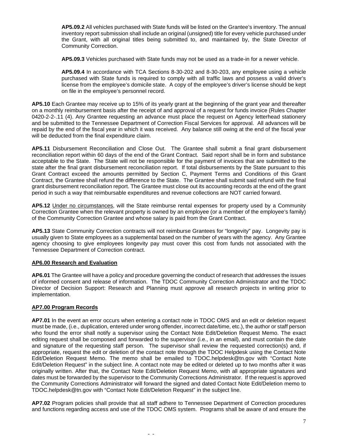**AP5.09.2** All vehicles purchased with State funds will be listed on the Grantee's inventory. The annual inventory report submission shall include an original (unsigned) title for every vehicle purchased under the Grant, with all original titles being submitted to, and maintained by, the State Director of Community Correction.

**AP5.09.3** Vehicles purchased with State funds may not be used as a trade-in for a newer vehicle.

**AP5.09.4** In accordance with TCA Sections 8-30-202 and 8-30-203, any employee using a vehicle purchased with State funds is required to comply with all traffic laws and possess a valid driver's license from the employee's domicile state. A copy of the employee's driver's license should be kept on file in the employee's personnel record.

**AP5.10** Each Grantee may receive up to 15% of its yearly grant at the beginning of the grant year and thereafter on a monthly reimbursement basis after the receipt of and approval of a request for funds invoice (Rules Chapter 0420-2-2-.11 (4). Any Grantee requesting an advance must place the request on Agency letterhead stationery and be submitted to the Tennessee Department of Correction Fiscal Services for approval. All advances will be repaid by the end of the fiscal year in which it was received. Any balance still owing at the end of the fiscal year will be deducted from the final expenditure claim.

**AP5.11** Disbursement Reconciliation and Close Out. The Grantee shall submit a final grant disbursement reconciliation report within 60 days of the end of the Grant Contract. Said report shall be in form and substance acceptable to the State. The State will not be responsible for the payment of invoices that are submitted to the state after the final grant disbursement reconciliation report. If total disbursements by the State pursuant to this Grant Contract exceed the amounts permitted by Section C, Payment Terms and Conditions of this Grant Contract, the Grantee shall refund the difference to the State. The Grantee shall submit said refund with the final grant disbursement reconciliation report. The Grantee must close out its accounting records at the end of the grant period in such a way that reimbursable expenditures and revenue collections are NOT carried forward.

**AP5.12** Under no circumstances, will the State reimburse rental expenses for property used by a Community Correction Grantee when the relevant property is owned by an employee (or a member of the employee's family) of the Community Correction Grantee and whose salary is paid from the Grant Contract.

**AP5.13** State Community Correction contracts will not reimburse Grantees for "longevity" pay. Longevity pay is usually given to State employees as a supplemental based on the number of years with the agency. Any Grantee agency choosing to give employees longevity pay must cover this cost from funds not associated with the Tennessee Department of Correction contract.

### **AP6.00 Research and Evaluation**

**AP6.01** The Grantee will have a policy and procedure governing the conduct of research that addresses the issues of informed consent and release of information. The TDOC Community Correction Administrator and the TDOC Director of Decision Support: Research and Planning must approve all research projects in writing prior to implementation.

### **AP7.00 Program Records**

**AP7.01** In the event an error occurs when entering a contact note in TDOC OMS and an edit or deletion request must be made, (i.e., duplication, entered under wrong offender, incorrect date/time, etc.), the author or staff person who found the error shall notify a supervisor using the Contact Note Edit/Deletion Request Memo. The exact editing request shall be composed and forwarded to the supervisor (i.e., in an email), and must contain the date and signature of the requesting staff person. The supervisor shall review the requested correction(s) and, if appropriate, request the edit or deletion of the contact note through the TDOC Helpdesk using the Contact Note Edit/Deletion Request Memo. The memo shall be emailed to [TDOC.helpdesk@tn.gov](mailto:TDOC.helpdesk@tn.gov) with "Contact Note Edit/Deletion Request" in the subject line. A contact note may be edited or deleted up to two months after it was originally written. After that, the Contact Note Edit/Deletion Request Memo, with all appropriate signatures and dates must be forwarded by the supervisor to the Community Corrections Administrator. If the request is approved the Community Corrections Administrator will forward the signed and dated Contact Note Edit/Deletion memo to [TDOC.helpdesk@tn.gov](mailto:TDOC.helpdesk@tn.gov) with "Contact Note Edit/Deletion Request" in the subject line.

**AP7.02** Program policies shall provide that all staff adhere to Tennessee Department of Correction procedures and functions regarding access and use of the TDOC OMS system. Programs shall be aware of and ensure the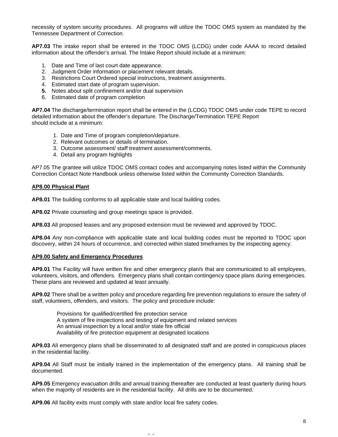necessity of system security procedures. All programs will utilize the TDOC OMS system as mandated by the Tennessee Department of Correction.

**AP7.03** The intake report shall be entered in the TDOC OMS (LCDG) under code AAAA to record detailed information about the offender's arrival. The Intake Report should include at a minimum:

- 1. Date and Time of last court date appearance.
- 2. Judgment Order information or placement relevant details.
- 3. Restrictions Court Ordered special instructions, treatment assignments.
- 4. Estimated start date of program supervision.
- **5.** Notes about split confinement and/or dual supervision
- 6. Estimated date of program completion

**AP7.04** The discharge/termination report shall be entered in the (LCDG) TDOC OMS under code TEPE to record detailed information about the offender's departure. The Discharge/Termination TEPE Report should include at a minimum:

- 1. Date and Time of program completion/departure.
- 2. Relevant outcomes or details of termination.
- 3. Outcome assessment/ staff treatment assessment/comments.
- 4. Detail any program highlights

AP7.05 The grantee will utilize TDOC OMS contact codes and accompanying notes listed within the Community Correction Contact Note Handbook unless otherwise listed within the Community Correction Standards.

#### **AP8.00 Physical Plant**

**AP8.01** The building conforms to all applicable state and local building codes.

**AP8.02** Private counseling and group meetings space is provided.

**AP8.03** All proposed leases and any proposed extension must be reviewed and approved by TDOC.

**AP8.04** Any non-compliance with applicable state and local building codes must be reported to TDOC upon discovery, within 24 hours of occurrence, and corrected within stated timeframes by the inspecting agency.

### **AP9.00 Safety and Emergency Procedures**

**AP9.01** The Facility will have written fire and other emergency plan/s that are communicated to all employees, volunteers, visitors, and offenders. Emergency plans shall contain contingency space plans during emergencies. These plans are reviewed and updated at least annually.

**AP9.02** There shall be a written policy and procedure regarding fire prevention regulations to ensure the safety of staff, volunteers, offenders, and visitors. The policy and procedure include:

Provisions for qualified/certified fire protection service A system of fire inspections and testing of equipment and related services An annual inspection by a local and/or state fire official Availability of fire protection equipment at designated locations

**AP9.03** All emergency plans shall be disseminated to all designated staff and are posted in conspicuous places in the residential facility.

**AP9.04** All Staff must be initially trained in the implementation of the emergency plans. All training shall be documented.

**AP9.05** Emergency evacuation drills and annual training thereafter are conducted at least quarterly during hours when the majority of residents are in the residential facility. All drills are to be documented.

- -

**AP9.06** All facility exits must comply with state and/or local fire safety codes.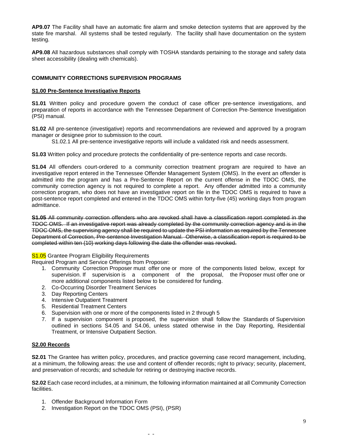**AP9.07** The Facility shall have an automatic fire alarm and smoke detection systems that are approved by the state fire marshal. All systems shall be tested regularly. The facility shall have documentation on the system testing.

**AP9.08** All hazardous substances shall comply with TOSHA standards pertaining to the storage and safety data sheet accessibility (dealing with chemicals).

## **COMMUNITY CORRECTIONS SUPERVISION PROGRAMS**

## **S1.00 Pre-Sentence Investigative Reports**

**S1.01** Written policy and procedure govern the conduct of case officer pre-sentence investigations, and preparation of reports in accordance with the Tennessee Department of Correction Pre-Sentence Investigation (PSI) manual.

**S1.02** All pre-sentence (investigative) reports and recommendations are reviewed and approved by a program manager or designee prior to submission to the court.

- S1.02.1 All pre-sentence investigative reports will include a validated risk and needs assessment.
- **S1.03** Written policy and procedure protects the confidentiality of pre-sentence reports and case records.

**S1.04** All offenders court-ordered to a community correction treatment program are required to have an investigative report entered in the Tennessee Offender Management System (OMS). In the event an offender is admitted into the program and has a Pre-Sentence Report on the current offense in the TDOC OMS, the community correction agency is not required to complete a report. Any offender admitted into a community correction program, who does not have an investigative report on file in the TDOC OMS is required to have a post-sentence report completed and entered in the TDOC OMS within forty-five (45) working days from program admittance.

**S1.05** All community correction offenders who are revoked shall have a classification report completed in the TDOC OMS. If an investigative report was already completed by the community correction agency and is in the TDOC OMS, the supervising agency shall be required to update the PSI information as required by the Tennessee Department of Correction, Pre-sentence Investigation Manual. Otherwise, a classification report is required to be completed within ten (10) working days following the date the offender was revoked.

### **S1.05** Grantee Program Eligibility Requirements

Required Program and Service Offerings from Proposer:

- 1. Community Correction Proposer must offer one or more of the components listed below, except for supervision. If supervision is a component of the proposal, the Proposer must offer one or more additional components listed below to be considered for funding.
- 2. Co-Occurring Disorder Treatment Services
- 3. Day Reporting Centers
- 4. Intensive Outpatient Treatment
- 5. Residential Treatment Centers
- 6. Supervision with one or more of the components listed in 2 through 5
- 7. If a supervision component is proposed, the supervision shall follow the Standards of Supervision outlined in sections S4.05 and S4.06, unless stated otherwise in the Day Reporting, Residential Treatment, or Intensive Outpatient Section.

### **S2.00 Records**

**S2.01** The Grantee has written policy, procedures, and practice governing case record management, including, at a minimum, the following areas: the use and content of offender records; right to privacy; security, placement, and preservation of records; and schedule for retiring or destroying inactive records.

**S2.02** Each case record includes, at a minimum, the following information maintained at all Community Correction facilities.

- 1. Offender Background Information Form
- 2. Investigation Report on the TDOC OMS (PSI), (PSR)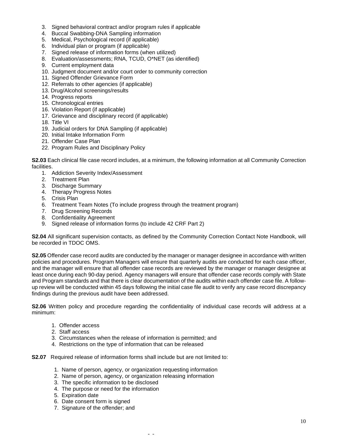- 3. Signed behavioral contract and/or program rules if applicable
- 4. Buccal Swabbing-DNA Sampling information
- 5. Medical, Psychological record (if applicable)
- 6. Individual plan or program (if applicable)
- 7. Signed release of information forms (when utilized)
- 8. Evaluation/assessments; RNA, TCUD, O\*NET (as identified)
- 9. Current employment data
- 10. Judgment document and/or court order to community correction
- 11. Signed Offender Grievance Form
- 12. Referrals to other agencies (if applicable)
- 13. Drug/Alcohol screenings/results
- 14. Progress reports
- 15. Chronological entries
- 16. Violation Report (if applicable)
- 17. Grievance and disciplinary record (if applicable)
- 18. Title VI
- 19. Judicial orders for DNA Sampling (if applicable)
- 20. Initial Intake Information Form
- 21. Offender Case Plan
- 22. Program Rules and Disciplinary Policy

**S2.03** Each clinical file case record includes, at a minimum, the following information at all Community Correction facilities.

- 1. Addiction Severity Index/Assessment
- 2. Treatment Plan
- 3. Discharge Summary
- 4. Therapy Progress Notes
- 5. Crisis Plan
- 6. Treatment Team Notes (To include progress through the treatment program)
- 7. Drug Screening Records
- 8. Confidentiality Agreement
- 9. Signed release of information forms (to include 42 CRF Part 2)

**S2.04** All significant supervision contacts, as defined by the Community Correction Contact Note Handbook, will be recorded in TDOC OMS.

**S2.05** Offender case record audits are conducted by the manager or manager designee in accordance with written policies and procedures. Program Managers will ensure that quarterly audits are conducted for each case officer, and the manager will ensure that all offender case records are reviewed by the manager or manager designee at least once during each 90-day period. Agency managers will ensure that offender case records comply with State and Program standards and that there is clear documentation of the audits within each offender case file. A followup review will be conducted within 45 days following the initial case file audit to verify any case record discrepancy findings during the previous audit have been addressed.

**S2.06** Written policy and procedure regarding the confidentiality of individual case records will address at a minimum:

- 1. Offender access
- 2. Staff access
- 3. Circumstances when the release of information is permitted; and
- 4. Restrictions on the type of information that can be released

**S2.07** Required release of information forms shall include but are not limited to:

1. Name of person, agency, or organization requesting information

- 2. Name of person, agency, or organization releasing information
- 3. The specific information to be disclosed
- 4. The purpose or need for the information
- 5. Expiration date
- 6. Date consent form is signed
- 7. Signature of the offender; and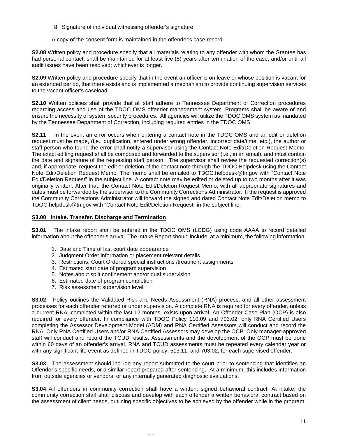8. Signature of individual witnessing offender's signature

A copy of the consent form is maintained in the offender's case record.

**S2.08** Written policy and procedure specify that all materials relating to any offender with whom the Grantee has had personal contact, shall be maintained for at least five (5) years after termination of the case, and/or until all audit issues have been resolved; whichever is longer.

**S2.09** Written policy and procedure specify that in the event an officer is on leave or whose position is vacant for an extended period, that there exists and is implemented a mechanism to provide continuing supervision services to the vacant officer's caseload.

**S2.10** Written policies shall provide that all staff adhere to Tennessee Department of Correction procedures regarding access and use of the TDOC OMS offender management system. Programs shall be aware of and ensure the necessity of system security procedures. All agencies will utilize the TDOC OMS system as mandated by the Tennessee Department of Correction, including required entries in the TDOC OMS.

**S2.11** In the event an error occurs when entering a contact note in the TDOC OMS and an edit or deletion request must be made, (i.e., duplication, entered under wrong offender, incorrect date/time, etc.), the author or staff person who found the error shall notify a supervisor using the Contact Note Edit/Deletion Request Memo. The exact editing request shall be composed and forwarded to the supervisor (i.e., in an email), and must contain the date and signature of the requesting staff person. The supervisor shall review the requested correction(s) and, if appropriate, request the edit or deletion of the contact note through the TDOC Helpdesk using the Contact Note Edit/Deletion Request Memo. The memo shall be emailed to [TDOC.helpdesk@tn.gov](mailto:TDOC.helpdesk@tn.gov) with "Contact Note Edit/Deletion Request" in the subject line. A contact note may be edited or deleted up to two months after it was originally written. After that, the Contact Note Edit/Deletion Request Memo, with all appropriate signatures and dates must be forwarded by the supervisor to the Community Corrections Administrator. If the request is approved the Community Corrections Administrator will forward the signed and dated Contact Note Edit/Deletion memo to [TDOC.helpdesk@tn.gov](mailto:TDOC.helpdesk@tn.gov) with "Contact Note Edit/Deletion Request" in the subject line.

## **S3.00 Intake. Transfer. Discharge and Termination**

**S3.01** The intake report shall be entered in the TDOC OMS (LCDG) using code AAAA to record detailed information about the offender's arrival. The Intake Report should include, at a minimum, the following information.

- 1. Date and Time of last court date appearance
- 2. Judgment Order information or placement relevant details
- 3. Restrictions, Court Ordered special instructions /treatment assignments
- 4. Estimated start date of program supervision
- 5. Notes about split confinement and/or dual supervision
- 6. Estimated date of program completion
- 7. Risk assessment supervision level

**S3.02** Policy outlines the Validated Risk and Needs Assessment (RNA) process, and all other assessment processes for each offender referred or under supervision. A complete RNA is required for every offender, unless a current RNA, completed within the last 12 months, exists upon arrival. An Offender Case Plan (OCP) is also required for every offender. In compliance with TDOC Policy 110.09 and 703.02, only RNA Certified Users completing the Assessor Development Model (ADM) and RNA Certified Assessors will conduct and record the RNA. Only RNA Certified Users and/or RNA Certified Assessors may develop the OCP. Only manager-approved staff will conduct and record the TCUD results. Assessments and the development of the OCP must be done within 60 days of an offender's arrival. RNA and TCUD assessments must be repeated every calendar year or with any significant life event as defined in TDOC policy, 513.11, and 703.02, for each supervised offender.

**S3.03** The assessment should include any report submitted to the court prior to sentencing that identifies an Offender's specific needs, or a similar report prepared after sentencing. At a minimum, this includes information from outside agencies or vendors, or any internally generated diagnostic evaluations.

**S3.04** All offenders in community correction shall have a written, signed behavioral contract. At intake, the community correction staff shall discuss and develop with each offender a written behavioral contract based on the assessment of client needs, outlining specific objectives to be achieved by the offender while in the program,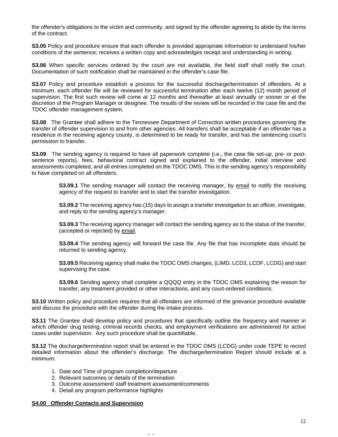the offender's obligations to the victim and community, and signed by the offender agreeing to abide by the terms of the contract.

**S3.05** Policy and procedure ensure that each offender is provided appropriate information to understand his/her conditions of the sentence; receives a written copy and acknowledges receipt and understanding in writing.

**S3.06** When specific services ordered by the court are not available, the field staff shall notify the court. Documentation of such notification shall be maintained in the offender's case file.

**S3.07** Policy and procedure establish a process for the successful discharge/termination of offenders. At a minimum, each offender file will be reviewed for successful termination after each twelve (12) month period of supervision. The first such review will come at 12 months and thereafter at least annually or sooner or at the discretion of the Program Manager or designee. The results of the review will be recorded in the case file and the TDOC offender management system.

**S3.08** The Grantee shall adhere to the Tennessee Department of Correction written procedures governing the transfer of offender supervision to and from other agencies. All transfers shall be acceptable if an offender has a residence in the receiving agency county, is determined to be ready for transfer, and has the sentencing court's permission to transfer.

**S3.09** The sending agency is required to have all paperwork complete (i.e., the case file set-up, pre- or postsentence reports), fees, behavioral contract signed and explained to the offender, initial interview and assessments completed, and all entries completed on the TDOC OMS. This is the sending agency's responsibility to have completed on all offenders.

**S3.09.1** The sending manager will contact the receiving manager, by email to notify the receiving agency of the request to transfer and to start the transfer investigation.

**S3.09.2** The receiving agency has (15) days to assign a transfer investigation to an officer, investigate, and reply to the sending agency's manager.

**S3.09.3** The receiving agency manager will contact the sending agency as to the status of the transfer, (accepted or rejected) by email.

**S3.09.4** The sending agency will forward the case file. Any file that has incomplete data should be returned to sending agency.

**S3.09.5** Receiving agency shall make the TDOC OMS changes, (LIMD, LCD3, LCDF, LCDG) and start supervising the case.

**S3.09.6** Sending agency shall complete a QQQQ entry in the TDOC OMS explaining the reason for transfer, any treatment provided or other interactions, and any court-ordered conditions.

**S3.10** Written policy and procedure requires that all offenders are informed of the grievance procedure available and discuss the procedure with the offender during the intake process.

**S3.11** The Grantee shall develop policy and procedures that specifically outline the frequency and manner in which offender drug testing, criminal records checks, and employment verifications are administered for active cases under supervision. Any such procedure shall be quantifiable.

**S3.12** The discharge/termination report shall be entered in the TDOC OMS (LCDG) under code TEPE to record detailed information about the offender's discharge. The discharge/termination Report should include at a minimum:

- 1. Date and Time of program completion/departure
- 2. Relevant outcomes or details of the termination
- 3. Outcome assessment/ staff treatment assessment/comments

- -

4. Detail any program performance highlights

#### **S4.00 Offender Contacts and Supervision**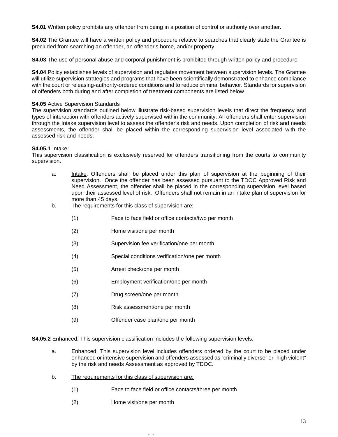**S4.01** Written policy prohibits any offender from being in a position of control or authority over another.

**S4.02** The Grantee will have a written policy and procedure relative to searches that clearly state the Grantee is precluded from searching an offender, an offender's home, and/or property.

**S4.03** The use of personal abuse and corporal punishment is prohibited through written policy and procedure.

**S4.04** Policy establishes levels of supervision and regulates movement between supervision levels. The Grantee will utilize supervision strategies and programs that have been scientifically demonstrated to enhance compliance with the court or releasing-authority-ordered conditions and to reduce criminal behavior. Standards for supervision of offenders both during and after completion of treatment components are listed below.

### **S4.05** Active Supervision Standards

The supervision standards outlined below illustrate risk-based supervision levels that direct the frequency and types of interaction with offenders actively supervised within the community. All offenders shall enter supervision through the Intake supervision level to assess the offender's risk and needs. Upon completion of risk and needs assessments, the offender shall be placed within the corresponding supervision level associated with the assessed risk and needs.

### **S4.05.1** Intake:

This supervision classification is exclusively reserved for offenders transitioning from the courts to community supervision.

- a. Intake: Offenders shall be placed under this plan of supervision at the beginning of their supervision. Once the offender has been assessed pursuant to the TDOC Approved Risk and Need Assessment, the offender shall be placed in the corresponding supervision level based upon their assessed level of risk. Offenders shall not remain in an intake plan of supervision for more than 45 days.
- b. The requirements for this class of supervision are:
	- (1) Face to face field or office contacts/two per month
	- (2) Home visit/one per month
	- (3) Supervision fee verification/one per month
	- (4) Special conditions verification/one per month
	- (5) Arrest check/one per month
	- (6) Employment verification/one per month
	- (7) Drug screen/one per month
	- (8) Risk assessment/one per month
	- (9) Offender case plan/one per month

**S4.05.2** Enhanced: This supervision classification includes the following supervision levels:

- a. Enhanced: This supervision level includes offenders ordered by the court to be placed under enhanced or intensive supervision and offenders assessed as "criminally diverse" or "high violent" by the risk and needs Assessment as approved by TDOC.
- b. The requirements for this class of supervision are:
	- (1) Face to face field or office contacts/three per month

- -

(2) Home visit/one per month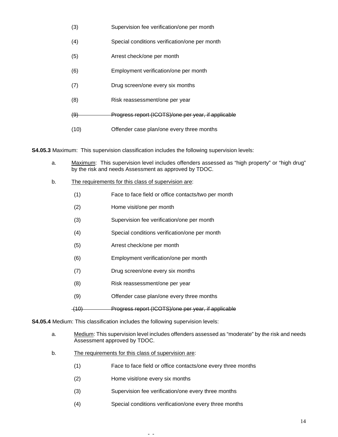- (3) Supervision fee verification/one per month
- (4) Special conditions verification/one per month
- (5) Arrest check/one per month
- (6) Employment verification/one per month
- (7) Drug screen/one every six months
- (8) Risk reassessment/one per year
- (9) Progress report (ICOTS)/one per year, if applicable
- (10) Offender case plan/one every three months

**S4.05.3** Maximum: This supervision classification includes the following supervision levels:

- a. Maximum: This supervision level includes offenders assessed as "high property" or "high drug" by the risk and needs Assessment as approved by TDOC.
- b. The requirements for this class of supervision are:
	- (1) Face to face field or office contacts/two per month
	- (2) Home visit/one per month
	- (3) Supervision fee verification/one per month
	- (4) Special conditions verification/one per month
	- (5) Arrest check/one per month
	- (6) Employment verification/one per month
	- (7) Drug screen/one every six months
	- (8) Risk reassessment/one per year
	- (9) Offender case plan/one every three months

(10) Progress report (ICOTS)/one per year, if applicable

**S4.05.4** Medium: This classification includes the following supervision levels:

- a. Medium: This supervision level includes offenders assessed as "moderate" by the risk and needs Assessment approved by TDOC.
- b. The requirements for this class of supervision are:
	- (1) Face to face field or office contacts/one every three months
	- (2) Home visit/one every six months
	- (3) Supervision fee verification/one every three months

- -

(4) Special conditions verification/one every three months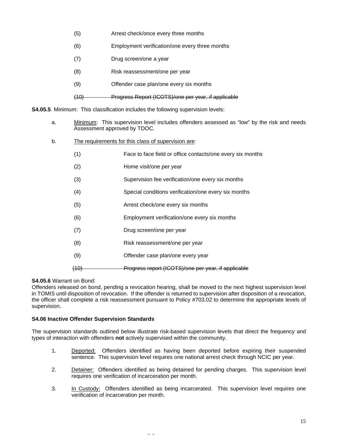- (5) Arrest check/once every three months
- (6) Employment verification/one every three months
- (7) Drug screen/one a year
- (8) Risk reassessment/one per year
- (9) Offender case plan/one every six months
- (10) Progress Report (ICOTS)/one per year, if applicable

**S4.05.5**. Minimum: This classification includes the following supervision levels:

- a. Minimum: This supervision level includes offenders assessed as "low" by the risk and needs Assessment approved by TDOC.
- b. The requirements for this class of supervision are:
	- (1) Face to face field or office contacts/one every six months
	- (2) Home visit/one per year
	- (3) Supervision fee verification/one every six months
	- (4) Special conditions verification/one every six months
	- (5) Arrest check/one every six months
	- (6) Employment verification/one every six months
	- (7) Drug screen/one per year
	- (8) Risk reassessment/one per year
	- (9) Offender case plan/one every year

(10) Progress report (ICOTS)/one per year, if applicable

### **S4.05.6** Warrant on Bond:

Offenders released on bond, pending a revocation hearing, shall be moved to the next highest supervision level in TOMIS until disposition of revocation. If the offender is returned to supervision after disposition of a revocation, the officer shall complete a risk reassessment pursuant to Policy #703.02 to determine the appropriate levels of supervision.

### **S4.06 Inactive Offender Supervision Standards**

The supervision standards outlined below illustrate risk-based supervision levels that direct the frequency and types of interaction with offenders **not** actively supervised within the community.

- 1. Deported: Offenders identified as having been deported before expiring their suspended sentence. This supervision level requires one national arrest check through NCIC per year.
- 2. Detainer: Offenders identified as being detained for pending charges. This supervision level requires one verification of incarceration per month.
- 3. In Custody: Offenders identified as being incarcerated. This supervision level requires one verification of incarceration per month.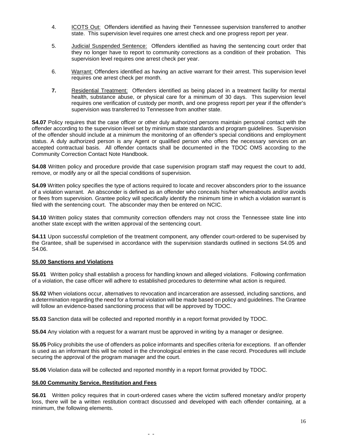- 4. ICOTS Out: Offenders identified as having their Tennessee supervision transferred to another state. This supervision level requires one arrest check and one progress report per year.
- 5. Judicial Suspended Sentence: Offenders identified as having the sentencing court order that they no longer have to report to community corrections as a condition of their probation. This supervision level requires one arrest check per year.
- 6. Warrant: Offenders identified as having an active warrant for their arrest. This supervision level requires one arrest check per month.
- **7.** Residential Treatment: Offenders identified as being placed in a treatment facility for mental health, substance abuse, or physical care for a minimum of 30 days. This supervision level requires one verification of custody per month, and one progress report per year if the offender's supervision was transferred to Tennessee from another state.

**S4.07** Policy requires that the case officer or other duly authorized persons maintain personal contact with the offender according to the supervision level set by minimum state standards and program guidelines. Supervision of the offender should include at a minimum the monitoring of an offender's special conditions and employment status. A duly authorized person is any Agent or qualified person who offers the necessary services on an accepted contractual basis. All offender contacts shall be documented in the TDOC OMS according to the Community Correction Contact Note Handbook.

**S4.08** Written policy and procedure provide that case supervision program staff may request the court to add, remove, or modify any or all the special conditions of supervision.

**S4.09** Written policy specifies the type of actions required to locate and recover absconders prior to the issuance of a violation warrant. An absconder is defined as an offender who conceals his/her whereabouts and/or avoids or flees from supervision. Grantee policy will specifically identify the minimum time in which a violation warrant is filed with the sentencing court. The absconder may then be entered on NCIC.

**S4.10** Written policy states that community correction offenders may not cross the Tennessee state line into another state except with the written approval of the sentencing court.

**S4.11** Upon successful completion of the treatment component, any offender court-ordered to be supervised by the Grantee, shall be supervised in accordance with the supervision standards outlined in sections S4.05 and S4.06.

### **S5.00 Sanctions and Violations**

**S5.01** Written policy shall establish a process for handling known and alleged violations. Following confirmation of a violation, the case officer will adhere to established procedures to determine what action is required.

**S5.02** When violations occur, alternatives to revocation and incarceration are assessed, including sanctions, and a determination regarding the need for a formal violation will be made based on policy and guidelines. The Grantee will follow an evidence-based sanctioning process that will be approved by TDOC.

**S5.03** Sanction data will be collected and reported monthly in a report format provided by TDOC.

**S5.04** Any violation with a request for a warrant must be approved in writing by a manager or designee.

**S5.05** Policy prohibits the use of offenders as police informants and specifies criteria for exceptions. If an offender is used as an informant this will be noted in the chronological entries in the case record. Procedures will include securing the approval of the program manager and the court.

**S5.06** Violation data will be collected and reported monthly in a report format provided by TDOC.

- -

### **S6.00 Community Service, Restitution and Fees**

**S6.01** Written policy requires that in court-ordered cases where the victim suffered monetary and/or property loss, there will be a written restitution contract discussed and developed with each offender containing, at a minimum, the following elements.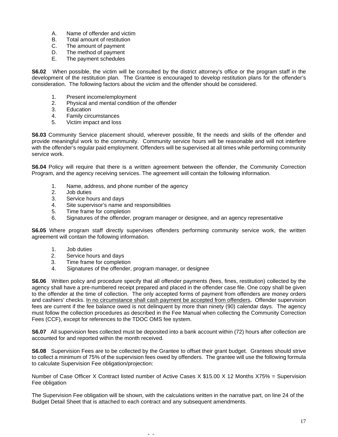- A. Name of offender and victim
- B. Total amount of restitution<br>C. The amount of payment
- The amount of payment
- D. The method of payment
- E. The payment schedules

**S6.02** When possible, the victim will be consulted by the district attorney's office or the program staff in the development of the restitution plan. The Grantee is encouraged to develop restitution plans for the offender's consideration. The following factors about the victim and the offender should be considered.

- 1. Present income/employment
- 2. Physical and mental condition of the offender
- 3. Education
- 4. Family circumstances
- 5. Victim impact and loss

**S6.03** Community Service placement should, wherever possible, fit the needs and skills of the offender and provide meaningful work to the community. Community service hours will be reasonable and will not interfere with the offender's regular paid employment. Offenders will be supervised at all times while performing community service work.

**S6.04** Policy will require that there is a written agreement between the offender, the Community Correction Program, and the agency receiving services. The agreement will contain the following information.

- 1. Name, address, and phone number of the agency
- 2. Job duties
- 3. Service hours and days
- 4. Site supervisor's name and responsibilities
- 5. Time frame for completion
- 6. Signatures of the offender, program manager or designee, and an agency representative

**S6.05** Where program staff directly supervises offenders performing community service work, the written agreement will contain the following information.

- 1. Job duties
- 2. Service hours and days<br>3. Time frame for completion
- 3. Time frame for completion<br>4. Signatures of the offender
- Signatures of the offender, program manager, or designee

**S6.06** Written policy and procedure specify that all offender payments (fees, fines, restitution) collected by the agency shall have a pre-numbered receipt prepared and placed in the offender case file. One copy shall be given to the offender at the time of collection. The only accepted forms of payment from offenders are money orders and cashiers' checks. In no circumstance shall cash payment be accepted from offenders**.** Offender supervision fees are current if the fee balance owed is not delinquent by more than ninety (90) calendar days. The agency must follow the collection procedures as described in the Fee Manual when collecting the Community Correction Fees (CCF), except for references to the TDOC OMS fee system.

**S6.07** All supervision fees collected must be deposited into a bank account within (72) hours after collection are accounted for and reported within the month received.

**S6.08** Supervision Fees are to be collected by the Grantee to offset their grant budget. Grantees should strive to collect a minimum of 75% of the supervision fees owed by offenders. The grantee will use the following formula to calculate Supervision Fee obligation/projection:

Number of Case Officer X Contract listed number of Active Cases X \$15.00 X 12 Months X75% = Supervision Fee obligation

The Supervision Fee obligation will be shown, with the calculations written in the narrative part, on line 24 of the Budget Detail Sheet that is attached to each contract and any subsequent amendments.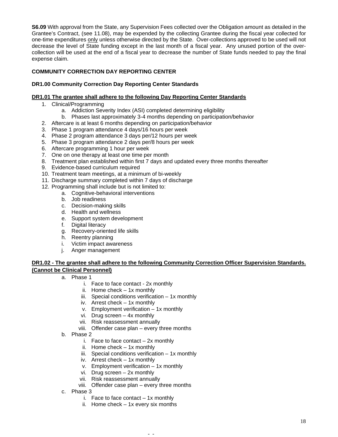**S6.09** With approval from the State, any Supervision Fees collected over the Obligation amount as detailed in the Grantee's Contract, (see 11.08), may be expended by the collecting Grantee during the fiscal year collected for one-time expenditures only unless otherwise directed by the State. Over-collections approved to be used will not decrease the level of State funding except in the last month of a fiscal year. Any unused portion of the overcollection will be used at the end of a fiscal year to decrease the number of State funds needed to pay the final expense claim.

## **COMMUNITY CORRECTION DAY REPORTING CENTER**

## **DR1.00 Community Correction Day Reporting Center Standards**

## **DR1.01 The grantee shall adhere to the following Day Reporting Center Standards**

- 1. Clinical/Programming
	- a. Addiction Severity Index (ASI) completed determining eligibility
	- b. Phases last approximately 3-4 months depending on participation/behavior
- 2. Aftercare is at least 6 months depending on participation/behavior
- 3. Phase 1 program attendance 4 days/16 hours per week
- 4. Phase 2 program attendance 3 days per/12 hours per week
- 5. Phase 3 program attendance 2 days per/8 hours per week
- 6. Aftercare programming 1 hour per week
- 7. One on one therapy at least one time per month
- 8. Treatment plan established within first 7 days and updated every three months thereafter
- 9. Evidence-based curriculum required
- 10. Treatment team meetings, at a minimum of bi-weekly
- 11. Discharge summary completed within 7 days of discharge
- 12. Programming shall include but is not limited to:
	- a. Cognitive-behavioral interventions
		- b. Job readiness
		- c. Decision-making skills
	- d. Health and wellness
	- e. Support system development
	- f. Digital literacy
	- g. Recovery-oriented life skills
	- h. Reentry planning
	- i. Victim impact awareness
	- j. Anger management

## **DR1.02 - The grantee shall adhere to the following Community Correction Officer Supervision Standards. (Cannot be Clinical Personnel)**

- a. Phase 1
	- i. Face to face contact 2x monthly
	- ii. Home check 1x monthly
	- iii. Special conditions verification  $-1x$  monthly
	- iv. Arrest check 1x monthly
	- v. Employment verification 1x monthly
	- vi. Drug screen 4x monthly
	- vii. Risk reassessment annually
	- viii. Offender case plan every three months
- b. Phase 2
	- i. Face to face contact  $-2x$  monthly
	- ii. Home check 1x monthly
	- iii. Special conditions verification  $-1x$  monthly
	- iv. Arrest check 1x monthly
	- v. Employment verification 1x monthly
	- vi. Drug screen 2x monthly
	- vii. Risk reassessment annually
	- viii. Offender case plan every three months

- c. Phase 3
	- i. Face to face contact  $-1x$  monthly
	- ii. Home check 1x every six months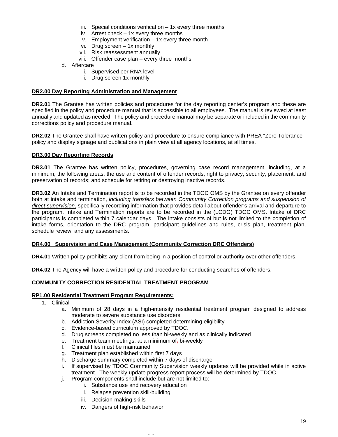- iii. Special conditions verification 1x every three months
- iv. Arrest check 1x every three months
- v. Employment verification 1x every three month
- vi. Drug screen 1x monthly
- vii. Risk reassessment annually
- viii. Offender case plan every three months
- d. Aftercare
	- i. Supervised per RNA level
	- ii. Drug screen 1x monthly

### **DR2.00 Day Reporting Administration and Management**

**DR2.01** The Grantee has written policies and procedures for the day reporting center's program and these are specified in the policy and procedure manual that is accessible to all employees. The manual is reviewed at least annually and updated as needed. The policy and procedure manual may be separate or included in the community corrections policy and procedure manual.

**DR2.02** The Grantee shall have written policy and procedure to ensure compliance with PREA "Zero Tolerance" policy and display signage and publications in plain view at all agency locations, at all times.

## **DR3.00 Day Reporting Records**

**DR3.01** The Grantee has written policy, procedures, governing case record management, including, at a minimum, the following areas: the use and content of offender records; right to privacy; security, placement, and preservation of records; and schedule for retiring or destroying inactive records.

**DR3.02** An Intake and Termination report is to be recorded in the TDOC OMS by the Grantee on every offender both at intake and termination, *including transfers between Community Correction programs and suspension of direct supervision,* specifically recording information that provides detail about offender's arrival and departure to the program. Intake and Termination reports are to be recorded in the (LCDG) TDOC OMS. Intake of DRC participants is completed within 7 calendar days. The intake consists of but is not limited to the completion of intake forms, orientation to the DRC program, participant guidelines and rules, crisis plan, treatment plan, schedule review, and any assessments.

## **DR4.00 Supervision and Case Management (Community Correction DRC Offenders)**

**DR4.01** Written policy prohibits any client from being in a position of control or authority over other offenders.

**DR4.02** The Agency will have a written policy and procedure for conducting searches of offenders.

## **COMMUNITY CORRECTION RESIDENTIAL TREATMENT PROGRAM**

### **RP1.00 Residential Treatment Program Requirements:**

- 1. Clinical
	- a. Minimum of 28 days in a high-intensity residential treatment program designed to address moderate to severe substance use disorders
	- b. Addiction Severity Index (ASI) completed determining eligibility
	- c. Evidence-based curriculum approved by TDOC.
	- d. Drug screens completed no less than bi-weekly and as clinically indicated

- e. Treatment team meetings, at a minimum of, bi-weekly
- f. Clinical files must be maintained
- g. Treatment plan established within first 7 days
- h. Discharge summary completed within 7 days of discharge
- i. If supervised by TDOC Community Supervision weekly updates will be provided while in active treatment. The weekly update progress report process will be determined by TDOC.
- j. Program components shall include but are not limited to:
	- i. Substance use and recovery education
	- ii. Relapse prevention skill-building
	- iii. Decision-making skills
	- iv. Dangers of high-risk behavior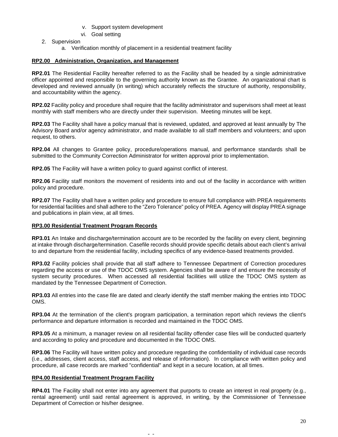- v. Support system development
- vi. Goal setting
- 2. Supervision
	- a. Verification monthly of placement in a residential treatment facility

## **RP2.00 Administration, Organization, and Management**

**RP2.01** The Residential Facility hereafter referred to as the Facility shall be headed by a single administrative officer appointed and responsible to the governing authority known as the Grantee. An organizational chart is developed and reviewed annually (in writing) which accurately reflects the structure of authority, responsibility, and accountability within the agency.

**RP2.02** Facility policy and procedure shall require that the facility administrator and supervisors shall meet at least monthly with staff members who are directly under their supervision. Meeting minutes will be kept.

**RP2.03** The Facility shall have a policy manual that is reviewed, updated, and approved at least annually by The Advisory Board and/or agency administrator, and made available to all staff members and volunteers; and upon request, to others.

**RP2.04** All changes to Grantee policy, procedure/operations manual, and performance standards shall be submitted to the Community Correction Administrator for written approval prior to implementation.

**RP2.05** The Facility will have a written policy to guard against conflict of interest.

**RP2.06** Facility staff monitors the movement of residents into and out of the facility in accordance with written policy and procedure.

**RP2.07** The Facility shall have a written policy and procedure to ensure full compliance with PREA requirements for residential facilities and shall adhere to the "Zero Tolerance" policy of PREA. Agency will display PREA signage and publications in plain view, at all times.

### **RP3.00 Residential Treatment Program Records**

**RP3.01** An Intake and discharge/termination account are to be recorded by the facility on every client, beginning at intake through discharge/termination. Casefile records should provide specific details about each client's arrival to and departure from the residential facility, including specifics of any evidence-based treatments provided.

**RP3.02** Facility policies shall provide that all staff adhere to Tennessee Department of Correction procedures regarding the access or use of the TDOC OMS system. Agencies shall be aware of and ensure the necessity of system security procedures. When accessed all residential facilities will utilize the TDOC OMS system as mandated by the Tennessee Department of Correction.

**RP3.03** All entries into the case file are dated and clearly identify the staff member making the entries into TDOC OMS.

**RP3.04** At the termination of the client's program participation, a termination report which reviews the client's performance and departure information is recorded and maintained in the TDOC OMS.

**RP3.05** At a minimum, a manager review on all residential facility offender case files will be conducted quarterly and according to policy and procedure and documented in the TDOC OMS.

**RP3.06** The Facility will have written policy and procedure regarding the confidentiality of individual case records (i.e., addresses, client access, staff access, and release of information). In compliance with written policy and procedure, all case records are marked "confidential" and kept in a secure location, at all times.

### **RP4.00 Residential Treatment Program Facility**

**RP4.01** The Facility shall not enter into any agreement that purports to create an interest in real property (e.g., rental agreement) until said rental agreement is approved, in writing, by the Commissioner of Tennessee Department of Correction or his/her designee.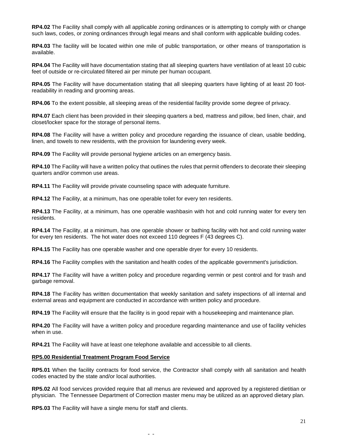**RP4.02** The Facility shall comply with all applicable zoning ordinances or is attempting to comply with or change such laws, codes, or zoning ordinances through legal means and shall conform with applicable building codes.

**RP4.03** The facility will be located within one mile of public transportation, or other means of transportation is available.

**RP4.04** The Facility will have documentation stating that all sleeping quarters have ventilation of at least 10 cubic feet of outside or re-circulated filtered air per minute per human occupant.

**RP4.05** The Facility will have documentation stating that all sleeping quarters have lighting of at least 20 footreadability in reading and grooming areas.

**RP4.06** To the extent possible, all sleeping areas of the residential facility provide some degree of privacy.

**RP4.07** Each client has been provided in their sleeping quarters a bed, mattress and pillow, bed linen, chair, and closet/locker space for the storage of personal items.

**RP4.08** The Facility will have a written policy and procedure regarding the issuance of clean, usable bedding, linen, and towels to new residents, with the provision for laundering every week.

**RP4.09** The Facility will provide personal hygiene articles on an emergency basis.

**RP4.10** The Facility will have a written policy that outlines the rules that permit offenders to decorate their sleeping quarters and/or common use areas.

**RP4.11** The Facility will provide private counseling space with adequate furniture.

**RP4.12** The Facility, at a minimum, has one operable toilet for every ten residents.

**RP4.13** The Facility, at a minimum, has one operable washbasin with hot and cold running water for every ten residents.

**RP4.14** The Facility, at a minimum, has one operable shower or bathing facility with hot and cold running water for every ten residents. The hot water does not exceed 110 degrees F (43 degrees C).

**RP4.15** The Facility has one operable washer and one operable dryer for every 10 residents.

**RP4.16** The Facility complies with the sanitation and health codes of the applicable government's jurisdiction.

**RP4.17** The Facility will have a written policy and procedure regarding vermin or pest control and for trash and garbage removal.

**RP4.18** The Facility has written documentation that weekly sanitation and safety inspections of all internal and external areas and equipment are conducted in accordance with written policy and procedure.

**RP4.19** The Facility will ensure that the facility is in good repair with a housekeeping and maintenance plan.

**RP4.20** The Facility will have a written policy and procedure regarding maintenance and use of facility vehicles when in use.

**RP4.21** The Facility will have at least one telephone available and accessible to all clients.

#### **RP5.00 Residential Treatment Program Food Service**

**RP5.01** When the facility contracts for food service, the Contractor shall comply with all sanitation and health codes enacted by the state and/or local authorities.

**RP5.02** All food services provided require that all menus are reviewed and approved by a registered dietitian or physician. The Tennessee Department of Correction master menu may be utilized as an approved dietary plan.

- -

**RP5.03** The Facility will have a single menu for staff and clients.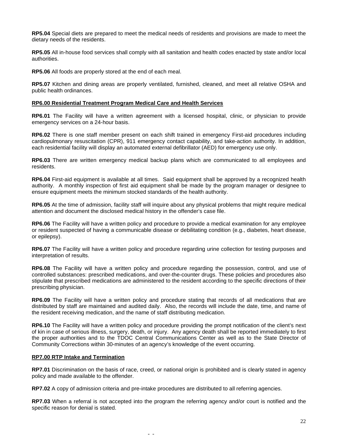**RP5.04** Special diets are prepared to meet the medical needs of residents and provisions are made to meet the dietary needs of the residents.

**RP5.05** All in-house food services shall comply with all sanitation and health codes enacted by state and/or local authorities.

**RP5.06** All foods are properly stored at the end of each meal.

**RP5.07** Kitchen and dining areas are properly ventilated, furnished, cleaned, and meet all relative OSHA and public health ordinances.

### **RP6.00 Residential Treatment Program Medical Care and Health Services**

**RP6.01** The Facility will have a written agreement with a licensed hospital, clinic, or physician to provide emergency services on a 24-hour basis.

**RP6.02** There is one staff member present on each shift trained in emergency First-aid procedures including cardiopulmonary resuscitation (CPR), 911 emergency contact capability, and take-action authority. In addition, each residential facility will display an automated external defibrillator (AED) for emergency use only.

**RP6.03** There are written emergency medical backup plans which are communicated to all employees and residents.

**RP6.04** First-aid equipment is available at all times. Said equipment shall be approved by a recognized health authority. A monthly inspection of first aid equipment shall be made by the program manager or designee to ensure equipment meets the minimum stocked standards of the health authority.

**RP6.05** At the time of admission, facility staff will inquire about any physical problems that might require medical attention and document the disclosed medical history in the offender's case file.

**RP6.06** The Facility will have a written policy and procedure to provide a medical examination for any employee or resident suspected of having a communicable disease or debilitating condition (e.g., diabetes, heart disease, or epilepsy).

**RP6.07** The Facility will have a written policy and procedure regarding urine collection for testing purposes and interpretation of results.

**RP6.08** The Facility will have a written policy and procedure regarding the possession, control, and use of controlled substances: prescribed medications, and over-the-counter drugs. These policies and procedures also stipulate that prescribed medications are administered to the resident according to the specific directions of their prescribing physician.

**RP6.09** The Facility will have a written policy and procedure stating that records of all medications that are distributed by staff are maintained and audited daily. Also, the records will include the date, time, and name of the resident receiving medication, and the name of staff distributing medication.

**RP6.10** The Facility will have a written policy and procedure providing the prompt notification of the client's next of kin in case of serious illness, surgery, death, or injury. Any agency death shall be reported immediately to first the proper authorities and to the TDOC Central Communications Center as well as to the State Director of Community Corrections within 30-minutes of an agency's knowledge of the event occurring.

### **RP7.00 RTP Intake and Termination**

**RP7.01** Discrimination on the basis of race, creed, or national origin is prohibited and is clearly stated in agency policy and made available to the offender.

**RP7.02** A copy of admission criteria and pre-intake procedures are distributed to all referring agencies.

- -

**RP7.03** When a referral is not accepted into the program the referring agency and/or court is notified and the specific reason for denial is stated.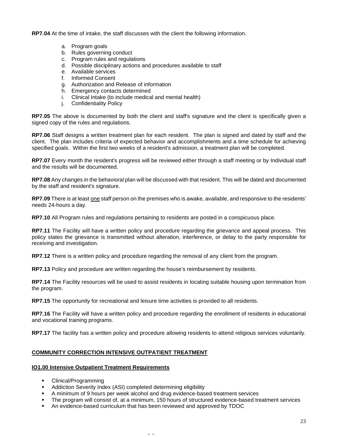**RP7.04** At the time of intake, the staff discusses with the client the following information.

- a. Program goals
- b. Rules governing conduct
- c. Program rules and regulations
- d. Possible disciplinary actions and procedures available to staff
- e. Available services
- f. Informed Consent
- g. Authorization and Release of information
- h. Emergency contacts determined
- i. Clinical Intake (to include medical and mental health)
- j. Confidentiality Policy

**RP7.05** The above is documented by both the client and staff's signature and the client is specifically given a signed copy of the rules and regulations.

**RP7.06** Staff designs a written treatment plan for each resident. The plan is signed and dated by staff and the client. The plan includes criteria of expected behavior and accomplishments and a time schedule for achieving specified goals. Within the first two weeks of a resident's admission, a treatment plan will be completed.

**RP7.07** Every month the resident's progress will be reviewed either through a staff meeting or by Individual staff and the results will be documented.

**RP7.08** Any changes in the behavioral plan will be discussed with that resident. This will be dated and documented by the staff and resident's signature.

**RP7.09** There is at least one staff person on the premises who is awake, available, and responsive to the residents' needs 24-hours a day.

**RP7.10** All Program rules and regulations pertaining to residents are posted in a conspicuous place.

**RP7.11** The Facility will have a written policy and procedure regarding the grievance and appeal process. This policy states the grievance is transmitted without alteration, interference, or delay to the party responsible for receiving and investigation.

**RP7.12** There is a written policy and procedure regarding the removal of any client from the program.

**RP7.13** Policy and procedure are written regarding the house's reimbursement by residents.

**RP7.14** The Facility resources will be used to assist residents in locating suitable housing upon termination from the program.

**RP7.15** The opportunity for recreational and leisure time activities is provided to all residents.

**RP7.16** The Facility will have a written policy and procedure regarding the enrollment of residents in educational and vocational training programs.

**RP7.17** The facility has a written policy and procedure allowing residents to attend religious services voluntarily.

## **COMMUNITY CORRECTION INTENSIVE OUTPATIENT TREATMENT**

### **IO1.00 Intensive Outpatient Treatment Requirements**

- **•** Clinical/Programming
- **Addiction Severity Index (ASI) completed determining eligibility**
- A minimum of 9 hours per week alcohol and drug evidence-based treatment services

- The program will consist of, at a minimum, 150 hours of structured evidence-based treatment services
- An evidence-based curriculum that has been reviewed and approved by TDOC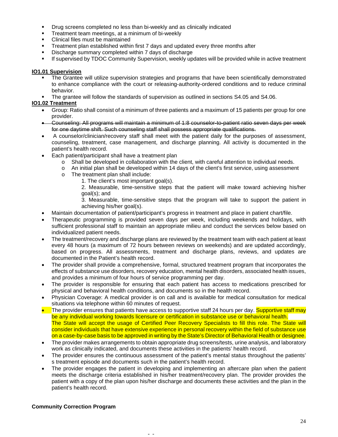- **•** Drug screens completed no less than bi-weekly and as clinically indicated
- **Treatment team meetings, at a minimum of bi-weekly**
- Clinical files must be maintained
- Treatment plan established within first 7 days and updated every three months after
- Discharge summary completed within 7 days of discharge
- **If supervised by TDOC Community Supervision, weekly updates will be provided while in active treatment**

## **IO1.01 Supervision**

- The Grantee will utilize supervision strategies and programs that have been scientifically demonstrated to enhance compliance with the court or releasing-authority-ordered conditions and to reduce criminal behavior.
- The grantee will follow the standards of supervision as outlined in sections S4.05 and S4.06.

## **IO1.02 Treatment**

- Group: Ratio shall consist of a minimum of three patients and a maximum of 15 patients per group for one provider.
- Counseling: All programs will maintain a minimum of 1:8 counselor-to-patient ratio seven days per week for one daytime shift. Such counseling staff shall possess appropriate qualifications.
- A counselor/clinician/recovery staff shall meet with the patient daily for the purposes of assessment, counseling, treatment, case management, and discharge planning. All activity is documented in the patient's health record.
- Each patient/participant shall have a treatment plan
	-
	- o Shall be developed in collaboration with the client, with careful attention to individual needs.<br>
	o An initial plan shall be developed within 14 days of the client's first service. using assessmer An initial plan shall be developed within 14 days of the client's first service, using assessment
	- o The treatment plan shall include:
		- 1. The client's most important goal(s).
		- 2. Measurable, time-sensitive steps that the patient will make toward achieving his/her goal(s); and

3. Measurable, time-sensitive steps that the program will take to support the patient in achieving his/her goal(s).

- Maintain documentation of patient/participant's progress in treatment and place in patient chart/file.
- Therapeutic programming is provided seven days per week, including weekends and holidays, with sufficient professional staff to maintain an appropriate milieu and conduct the services below based on individualized patient needs.
- The treatment/recovery and discharge plans are reviewed by the treatment team with each patient at least every 48 hours (a maximum of 72 hours between reviews on weekends) and are updated accordingly, based on progress. All assessments, treatment and discharge plans, reviews, and updates are documented in the Patient's health record.
- The provider shall provide a comprehensive, formal, structured treatment program that incorporates the effects of substance use disorders, recovery education, mental health disorders, associated health issues, and provides a minimum of four hours of service programming per day.
- The provider is responsible for ensuring that each patient has access to medications prescribed for physical and behavioral health conditions, and documents so in the health record.
- Physician Coverage: A medical provider is on call and is available for medical consultation for medical situations via telephone within 60 minutes of request.
- The provider ensures that patients have access to supportive staff 24 hours per day. Supportive staff may be any individual working towards licensure or certification in substance use or behavioral health. The State will accept the usage of Certified Peer Recovery Specialists to fill this role. The State will consider individuals that have extensive experience in personal recovery within the field of substance use on a case-by-case basis to be approved in writing by the State's Director of Behavioral Health or designee.
- The provider makes arrangements to obtain appropriate drug screens/tests, urine analysis, and laboratory work as clinically indicated, and documents these activities in the patients' health record.
- The provider ensures the continuous assessment of the patient's mental status throughout the patients' s treatment episode and documents such in the patient's health record.
- The provider engages the patient in developing and implementing an aftercare plan when the patient meets the discharge criteria established in his/her treatment/recovery plan. The provider provides the patient with a copy of the plan upon his/her discharge and documents these activities and the plan in the patient's health record.

- -

## **Community Correction Program**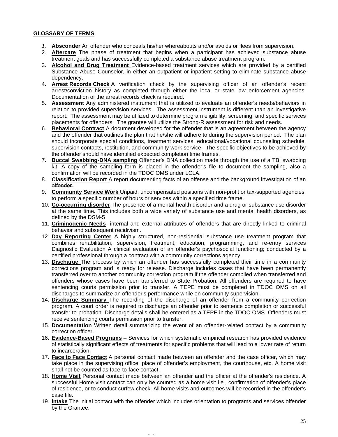# **GLOSSARY OF TERMS**

- *1.* **Absconder** An offender who conceals his/her whereabouts and/or avoids or flees from supervision.
- 2. **Aftercare** The phase of treatment that begins when a participant has achieved substance abuse treatment goals and has successfully completed a substance abuse treatment program.
- 3. **Alcohol and Drug Treatment** Evidence-based treatment services which are provided by a certified Substance Abuse Counselor, in either an outpatient or inpatient setting to eliminate substance abuse dependency.
- 4. **Arrest Records Check** A verification check by the supervising officer of an offender's recent arrest/conviction history as completed through either the local or state law enforcement agencies. Documentation of the arrest records check is required.
- 5. **Assessment** Any administered instrument that is utilized to evaluate an offender's needs/behaviors in relation to provided supervision services. The assessment instrument is different than an investigative report. The assessment may be utilized to determine program eligibility, screening, and specific services placements for offenders. The grantee will utilize the Strong-R assessment for risk and needs.
- 6. **Behavioral Contract** A document developed for the offender that is an agreement between the agency and the offender that outlines the plan that he/she will adhere to during the supervision period. The plan should incorporate special conditions, treatment services, educational/vocational counseling schedule, supervision contacts, restitution, and community work service. The specific objectives to be achieved by the offender should have identified expected completion time frames.
- 7. **Buccal Swabbing-DNA sampling** Offender's DNA collection made through the use of a TBI swabbing kit. A copy of the sampling form is placed in the offender's file to document the sampling, also a confirmation will be recorded in the TDOC OMS under LCLA.
- 8. **Classification Report** A report documenting facts of an offense and the background investigation of an offender.
- 9. **Community Service Work** Unpaid, uncompensated positions with non-profit or tax-supported agencies, to perform a specific number of hours or services within a specified time frame.
- 10. **Co-occurring disorder** The presence of a mental health disorder and a drug or substance use disorder at the same time. This includes both a wide variety of substance use and mental health disorders, as defined by the DSM-5
- 11. **Criminogenic Needs** internal and external attributes of offenders that are directly linked to criminal behavior and subsequent recidivism.
- 12. **Day Reporting Center** A highly structured, non-residential substance use treatment program that combines rehabilitation, supervision, treatment, education, programming, and re-entry services Diagnostic Evaluation A clinical evaluation of an offender's psychosocial functioning; conducted by a certified professional through a contract with a community corrections agency.
- 13. **Discharge** The process by which an offender has successfully completed their time in a community corrections program and is ready for release. Discharge includes cases that have been permanently transferred over to another community correction program if the offender complied when transferred and offenders whose cases have been transferred to State Probation. All offenders are required to have sentencing courts permission prior to transfer. A TEPE must be completed in TDOC OMS on all discharges to summarize an offender's performance while on community supervision.
- 14. **Discharge Summary** The recording of the discharge of an offender from a community correction program. A court order is required to discharge an offender prior to sentence completion or successful transfer to probation. Discharge details shall be entered as a TEPE in the TDOC OMS. Offenders must receive sentencing courts permission prior to transfer.
- 15. **Documentation** Written detail summarizing the event of an offender-related contact by a community correction officer.
- 16. **Evidence-Based Programs** Services for which systematic empirical research has provided evidence of statistically significant effects of treatments for specific problems that will lead to a lower rate of return to incarceration.
- 17. **Face to Face Contact** A personal contact made between an offender and the case officer, which may take place in the supervising office, place of offender's employment, the courthouse, etc. A home visit shall not be counted as face-to-face contact.
- 18. **Home Visit** Personal contact made between an offender and the officer at the offender's residence. A successful Home visit contact can only be counted as a home visit i.e., confirmation of offender's place of residence, or to conduct curfew check. All home visits and outcomes will be recorded in the offender's case file.
- 19. **Intake** The initial contact with the offender which includes orientation to programs and services offender by the Grantee.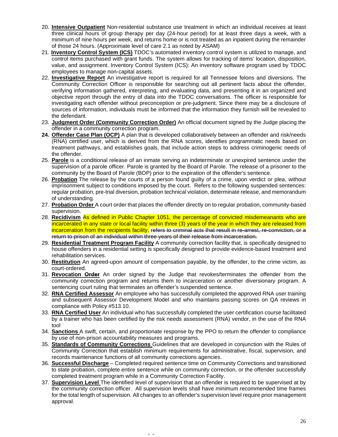- 20. **Intensive Outpatient** Non-residential substance use [treatment](https://www.lawinsider.com/clause/treatment) in which an [individual](https://www.lawinsider.com/clause/individual) [receives](https://www.lawinsider.com/dictionary/receives) at least three clinical [hours of](https://www.lawinsider.com/clause/hours-of) group therapy [per day](https://www.lawinsider.com/clause/per-day) (24-hour [period\)](https://www.lawinsider.com/clause/period) for at least [three days](https://www.lawinsider.com/dictionary/three-days) [a week,](https://www.lawinsider.com/dictionary/a-week) with a minimum of nine hours per week, and [returns](https://www.lawinsider.com/clause/returns) [home](https://www.lawinsider.com/clause/home) or is not [treated](https://www.lawinsider.com/dictionary/treated) as an [inpatient](https://www.lawinsider.com/clause/inpatient) during the [remainder](https://www.lawinsider.com/clause/remainder) of those 24 hours. (Approximate level of care 2.1 as noted by ASAM)
- 21. **Inventory Control System (ICS)** TDOC's automated inventory control system is utilized to manage, and control items purchased with grant funds. The system allows for tracking of items' location, disposition, value, and assignment. Inventory Control System (ICS): An inventory software program used by TDOC employees to manage non-capital assets.
- 22. **Investigative Report** An investigative report is required for all Tennessee felons and diversions. The Community Correction Officer is responsible for searching out all pertinent facts about the offender, verifying information gathered, interpreting, and evaluating data, and presenting it in an organized and objective report through the entry of data into the TDOC conversations. The officer is responsible for investigating each offender without preconception or pre-judgment. Since there may be a disclosure of sources of information, individuals must be informed that the information they furnish will be revealed to the defendant.
- 23. **Judgment Order (Community Correction Order)** An official document signed by the Judge placing the offender in a community correction program.
- **24. Offender Case Plan (OCP)** A plan that is developed collaboratively between an offender and risk/needs (RNA) certified user, which is derived from the RNA scores, identifies programmatic needs based on treatment pathways, and establishes goals, that include action steps to address criminogenic needs of the offender.
- 25. **Parole** is a conditional release of an inmate serving an indeterminate or unexpired sentence under the supervision of a parole officer. Parole is granted by the Board of Parole. The release of a prisoner to the community by the Board of Parole (BOP) prior to the expiration of the offender's sentence.
- 26. **Probation** The release by the courts of a person found guilty of a crime, upon verdict or plea, without imprisonment subject to conditions imposed by the court. Refers to the following suspended sentences: regular probation, pre-trial diversion, probation technical violation, determinate release, and memorandum of understanding.
- 27. **Probation Order** A court order that places the offender directly on to regular probation, community-based supervision.
- 28. **Recidivism** As defined in Public Chapter 1051, the percentage of convicted misdemeanants who are incarcerated in any state or local facility within three (3) years of the year in which they are released from incarceration from the recipients facility. refers to criminal acts that result in re-arrest, re-conviction, or a return to prison of an individual within three years of their release from incarceration.
- 29. **Residential Treatment Program Facility** A community correction facility that, is specifically designed to house offenders in a residential setting is specifically designed to provide evidence-based treatment and rehabilitation services.
- 30. **Restitution** An agreed-upon amount of compensation payable, by the offender, to the crime victim, as court-ordered.
- 31. **Revocation Order** An order signed by the Judge that revokes/terminates the offender from the community correction program and returns them to incarceration or another diversionary program. A sentencing court ruling that terminates an offender's suspended sentence.
- 32. **RNA Certified Assessor** An employee who has successfully completed the approved RNA user training and subsequent Assessor Development Model and who maintains passing scores on QA reviews in compliance with Policy #513.10.
- 33. **RNA Certified User** An individual who has successfully completed the user certification course facilitated by a trainer who has been certified by the risk needs assessment (RNA) vendor, in the use of the RNA tool
- 34. **Sanctions** A swift, certain, and proportionate response by the PPO to return the offender to compliance by use of non-prison accountability measures and programs.
- 35. **Standards of Community Corrections** Guidelines that are developed in conjunction with the Rules of Community Correction that establish minimum requirements for administrative, fiscal, supervision, and records maintenance functions of all community corrections agencies.
- 36. **Successful Discharge** Completed required sentence time on Community Corrections and transitioned to state probation, complete entire sentence while on community correction, or the offender successfully completed treatment program while in a Community Correction Facility.
- 37. **Supervision Level** The identified level of supervision that an offender is required to be supervised at by the community correction officer. All supervision levels shall have minimum recommended time frames for the total length of supervision. All changes to an offender's supervision level require prior management approval.